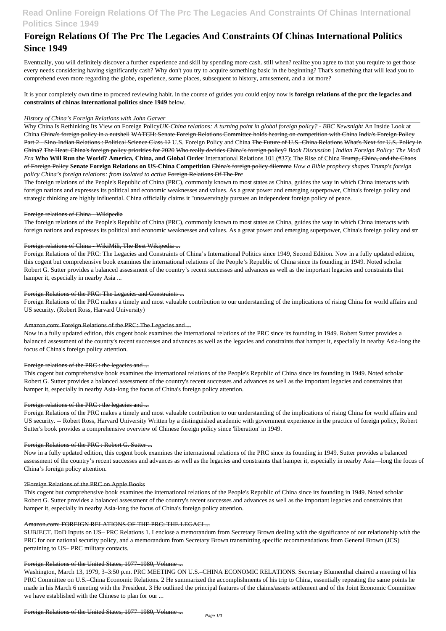## **Read Online Foreign Relations Of The Prc The Legacies And Constraints Of Chinas International Politics Since 1949**

# **Foreign Relations Of The Prc The Legacies And Constraints Of Chinas International Politics Since 1949**

Eventually, you will definitely discover a further experience and skill by spending more cash. still when? realize you agree to that you require to get those every needs considering having significantly cash? Why don't you try to acquire something basic in the beginning? That's something that will lead you to comprehend even more regarding the globe, experience, some places, subsequent to history, amusement, and a lot more?

It is your completely own time to proceed reviewing habit. in the course of guides you could enjoy now is **foreign relations of the prc the legacies and constraints of chinas international politics since 1949** below.

## *History of China's Foreign Relations with John Garver*

Why China Is Rethinking Its View on Foreign Policy*UK-China relations: A turning point in global foreign policy? - BBC Newsnight* An Inside Look at China China's foreign policy in a nutshell WATCH: Senate Foreign Relations Committee holds hearing on competition with China India's Foreign Policy Part 2 - Sino-Indian Relations : Political Science Class 12 U.S. Foreign Policy and China The Future of U.S.-China Relations What's Next for U.S. Policy in China? The Heat: China's foreign policy priorities for 2020 Who really decides China's foreign policy? *Book Discussion | Indian Foreign Policy: The Modi Era* **Who Will Run the World? America, China, and Global Order** International Relations 101 (#37): The Rise of China Trump, China, and the Chaos of Foreign Policy **Senate Foreign Relations on US-China Competition** China's foreign policy dilemma *How a Bible prophecy shapes Trump's foreign policy China's foreign relations: from isolated to active* Foreign Relations Of The Prc

The foreign relations of the People's Republic of China (PRC), commonly known to most states as China, guides the way in which China interacts with foreign nations and expresses its political and economic weaknesses and values. As a great power and emerging superpower, China's foreign policy and strategic thinking are highly influential. China officially claims it "unswervingly pursues an independent foreign policy of peace.

## Foreign relations of China - Wikipedia

The foreign relations of the People's Republic of China (PRC), commonly known to most states as China, guides the way in which China interacts with foreign nations and expresses its political and economic weaknesses and values. As a great power and emerging superpower, China's foreign policy and str

## Foreign relations of China - WikiMili, The Best Wikipedia ...

Foreign Relations of the PRC: The Legacies and Constraints of China's International Politics since 1949, Second Edition. Now in a fully updated edition, this cogent but comprehensive book examines the international relations of the People's Republic of China since its founding in 1949. Noted scholar Robert G. Sutter provides a balanced assessment of the country's recent successes and advances as well as the important legacies and constraints that hamper it, especially in nearby Asia ...

## Foreign Relations of the PRC: The Legacies and Constraints ...

Foreign Relations of the PRC makes a timely and most valuable contribution to our understanding of the implications of rising China for world affairs and US security. (Robert Ross, Harvard University)

### Amazon.com: Foreign Relations of the PRC: The Legacies and ...

Now in a fully updated edition, this cogent book examines the international relations of the PRC since its founding in 1949. Robert Sutter provides a balanced assessment of the country's recent successes and advances as well as the legacies and constraints that hamper it, especially in nearby Asia-long the focus of China's foreign policy attention.

## Foreign relations of the PRC : the legacies and ...

This cogent but comprehensive book examines the international relations of the People's Republic of China since its founding in 1949. Noted scholar Robert G. Sutter provides a balanced assessment of the country's recent successes and advances as well as the important legacies and constraints that hamper it, especially in nearby Asia-long the focus of China's foreign policy attention.

## Foreign relations of the PRC : the legacies and ...

Foreign Relations of the PRC makes a timely and most valuable contribution to our understanding of the implications of rising China for world affairs and US security. -- Robert Ross, Harvard University Written by a distinguished academic with government experience in the practice of foreign policy, Robert Sutter's book provides a comprehensive overview of Chinese foreign policy since 'liberation' in 1949.

### Foreign Relations of the PRC : Robert G. Sutter ...

Now in a fully updated edition, this cogent book examines the international relations of the PRC since its founding in 1949. Sutter provides a balanced assessment of the country's recent successes and advances as well as the legacies and constraints that hamper it, especially in nearby Asia—long the focus of China's foreign policy attention.

#### ?Foreign Relations of the PRC on Apple Books

This cogent but comprehensive book examines the international relations of the People's Republic of China since its founding in 1949. Noted scholar Robert G. Sutter provides a balanced assessment of the country's recent successes and advances as well as the important legacies and constraints that hamper it, especially in nearby Asia-long the focus of China's foreign policy attention.

#### Amazon.com: FOREIGN RELATIONS OF THE PRC: THE LEGACI ...

SUBJECT. DoD Inputs on US– PRC Relations 1. I enclose a memorandum from Secretary Brown dealing with the significance of our relationship with the PRC for our national security policy, and a memorandum from Secretary Brown transmitting specific recommendations from General Brown (JCS) pertaining to US– PRC military contacts.

#### Foreign Relations of the United States, 1977–1980, Volume ...

Washington, March 13, 1979, 3–3:50 p.m. PRC MEETING ON U.S.–CHINA ECONOMIC RELATIONS. Secretary Blumenthal chaired a meeting of his PRC Committee on U.S.–China Economic Relations. 2 He summarized the accomplishments of his trip to China, essentially repeating the same points he made in his March 6 meeting with the President. 3 He outlined the principal features of the claims/assets settlement and of the Joint Economic Committee we have established with the Chinese to plan for our ...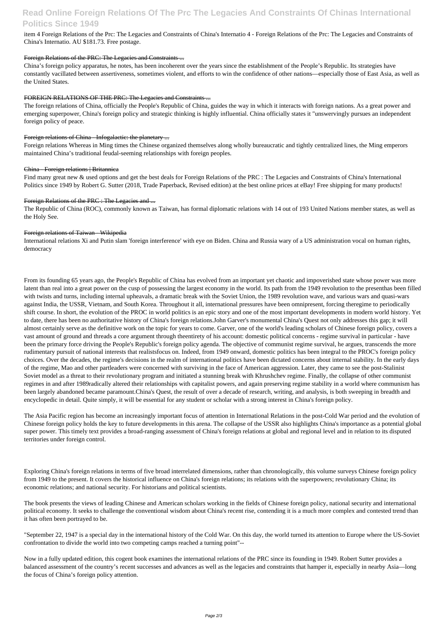## **Read Online Foreign Relations Of The Prc The Legacies And Constraints Of Chinas International Politics Since 1949**

item 4 Foreign Relations of the Prc: The Legacies and Constraints of China's Internatio 4 - Foreign Relations of the Prc: The Legacies and Constraints of China's Internatio. AU \$181.73. Free postage.

## Foreign Relations of the PRC: The Legacies and Constraints ...

China's foreign policy apparatus, he notes, has been incoherent over the years since the establishment of the People's Republic. Its strategies have constantly vacillated between assertiveness, sometimes violent, and efforts to win the confidence of other nations—especially those of East Asia, as well as the United States.

## FOREIGN RELATIONS OF THE PRC: The Legacies and Constraints ...

Find many great new & used options and get the best deals for Foreign Relations of the PRC : The Legacies and Constraints of China's International Politics since 1949 by Robert G. Sutter (2018, Trade Paperback, Revised edition) at the best online prices at eBay! Free shipping for many products!

## Foreign Relations of the PRC : The Legacies and ...

The foreign relations of China, officially the People's Republic of China, guides the way in which it interacts with foreign nations. As a great power and emerging superpower, China's foreign policy and strategic thinking is highly influential. China officially states it "unswervingly pursues an independent foreign policy of peace.

## Foreign relations of China - Infogalactic: the planetary ...

Foreign relations Whereas in Ming times the Chinese organized themselves along wholly bureaucratic and tightly centralized lines, the Ming emperors maintained China's traditional feudal-seeming relationships with foreign peoples.

## China - Foreign relations | Britannica

The Republic of China (ROC), commonly known as Taiwan, has formal diplomatic relations with 14 out of 193 United Nations member states, as well as the Holy See.

## Foreign relations of Taiwan - Wikipedia

International relations Xi and Putin slam 'foreign interference' with eye on Biden. China and Russia wary of a US administration vocal on human rights, democracy

From its founding 65 years ago, the People's Republic of China has evolved from an important yet chaotic and impoverished state whose power was more latent than real into a great power on the cusp of possessing the largest economy in the world. Its path from the 1949 revolution to the presenthas been filled with twists and turns, including internal upheavals, a dramatic break with the Soviet Union, the 1989 revolution wave, and various wars and quasi-wars against India, the USSR, Vietnam, and South Korea. Throughout it all, international pressures have been omnipresent, forcing theregime to periodically shift course. In short, the evolution of the PROC in world politics is an epic story and one of the most important developments in modern world history. Yet to date, there has been no authoritative history of China's foreign relations.John Garver's monumental China's Quest not only addresses this gap; it will almost certainly serve as the definitive work on the topic for years to come. Garver, one of the world's leading scholars of Chinese foreign policy, covers a vast amount of ground and threads a core argument through theentirety of his account: domestic political concerns - regime survival in particular - have been the primary force driving the People's Republic's foreign policy agenda. The objective of communist regime survival, he argues, transcends the more rudimentary pursuit of national interests that realistsfocus on. Indeed, from 1949 onward, domestic politics has been integral to the PROC's foreign policy choices. Over the decades, the regime's decisions in the realm of international politics have been dictated concerns about internal stability. In the early days of the regime, Mao and other partleaders were concerned with surviving in the face of American aggression. Later, they came to see the post-Stalinist Soviet model as a threat to their revolutionary program and initiated a stunning break with Khrushchev regime. Finally, the collapse of other communist regimes in and after 1989radically altered their relationships with capitalist powers, and again preserving regime stability in a world where communism has been largely abandoned became paramount.China's Quest, the result of over a decade of research, writing, and analysis, is both sweeping in breadth and encyclopedic in detail. Quite simply, it will be essential for any student or scholar with a strong interest in China's foreign policy.

The Asia Pacific region has become an increasingly important focus of attention in International Relations in the post-Cold War period and the evolution of Chinese foreign policy holds the key to future developments in this arena. The collapse of the USSR also highlights China's importance as a potential global super power. This timely text provides a broad-ranging assessment of China's foreign relations at global and regional level and in relation to its disputed territories under foreign control.

Exploring China's foreign relations in terms of five broad interrelated dimensions, rather than chronologically, this volume surveys Chinese foreign policy

from 1949 to the present. It covers the historical influence on China's foreign relations; its relations with the superpowers; revolutionary China; its economic relations; and national security. For historians and political scientists.

The book presents the views of leading Chinese and American scholars working in the fields of Chinese foreign policy, national security and international political economy. It seeks to challenge the conventional wisdom about China's recent rise, contending it is a much more complex and contested trend than it has often been portrayed to be.

"September 22, 1947 is a special day in the international history of the Cold War. On this day, the world turned its attention to Europe where the US-Soviet confrontation to divide the world into two competing camps reached a turning point"--

Now in a fully updated edition, this cogent book examines the international relations of the PRC since its founding in 1949. Robert Sutter provides a balanced assessment of the country's recent successes and advances as well as the legacies and constraints that hamper it, especially in nearby Asia—long the focus of China's foreign policy attention.